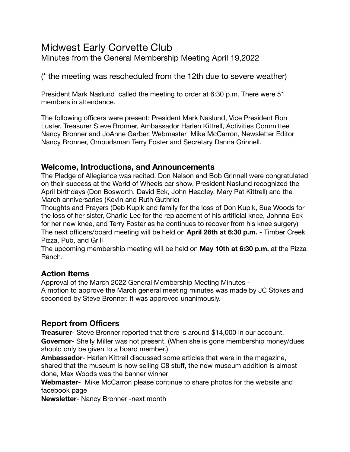# Midwest Early Corvette Club

Minutes from the General Membership Meeting April 19,2022

(\* the meeting was rescheduled from the 12th due to severe weather)

President Mark Naslund called the meeting to order at 6:30 p.m. There were 51 members in attendance.

The following officers were present: President Mark Naslund, Vice President Ron Luster, Treasurer Steve Bronner, Ambassador Harlen Kittrell, Activities Committee Nancy Bronner and JoAnne Garber, Webmaster Mike McCarron, Newsletter Editor Nancy Bronner, Ombudsman Terry Foster and Secretary Danna Grinnell.

## **Welcome, Introductions, and Announcements**

The Pledge of Allegiance was recited. Don Nelson and Bob Grinnell were congratulated on their success at the World of Wheels car show. President Naslund recognized the April birthdays (Don Bosworth, David Eck, John Headley, Mary Pat Kittrell) and the March anniversaries (Kevin and Ruth Guthrie)

Thoughts and Prayers (Deb Kupik and family for the loss of Don Kupik, Sue Woods for the loss of her sister, Charlie Lee for the replacement of his artificial knee, Johnna Eck for her new knee, and Terry Foster as he continues to recover from his knee surgery) The next officers/board meeting will be held on **April 26th at 6:30 p.m.** - Timber Creek Pizza, Pub, and Grill

The upcoming membership meeting will be held on **May 10th at 6:30 p.m.** at the Pizza Ranch.

# **Action Items**

Approval of the March 2022 General Membership Meeting Minutes - A motion to approve the March general meeting minutes was made by JC Stokes and seconded by Steve Bronner. It was approved unanimously.

# **Report from Officers**

**Treasurer**- Steve Bronner reported that there is around \$14,000 in our account. **Governor**- Shelly Miller was not present. (When she is gone membership money/dues should only be given to a board member.)

**Ambassador**- Harlen Kittrell discussed some articles that were in the magazine, shared that the museum is now selling C8 stuff, the new museum addition is almost done, Max Woods was the banner winner

**Webmaster**- Mike McCarron please continue to share photos for the website and facebook page

**Newsletter**- Nancy Bronner -next month